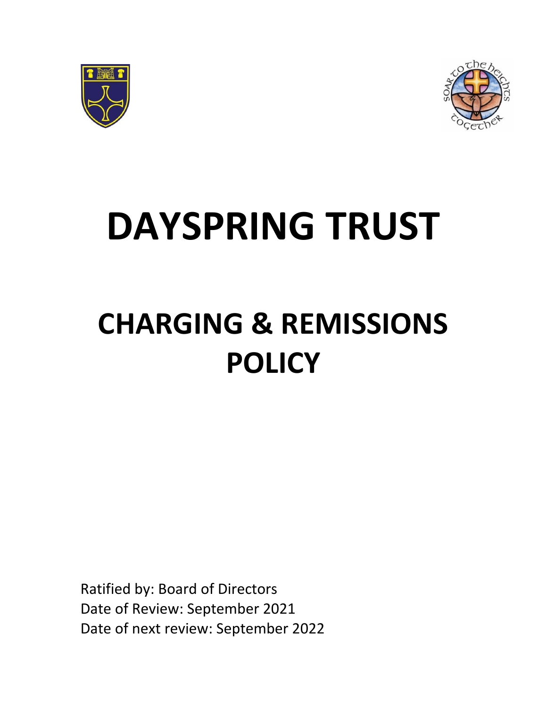



# **DAYSPRING TRUST**

# **CHARGING & REMISSIONS POLICY**

Ratified by: Board of Directors Date of Review: September 2021 Date of next review: September 2022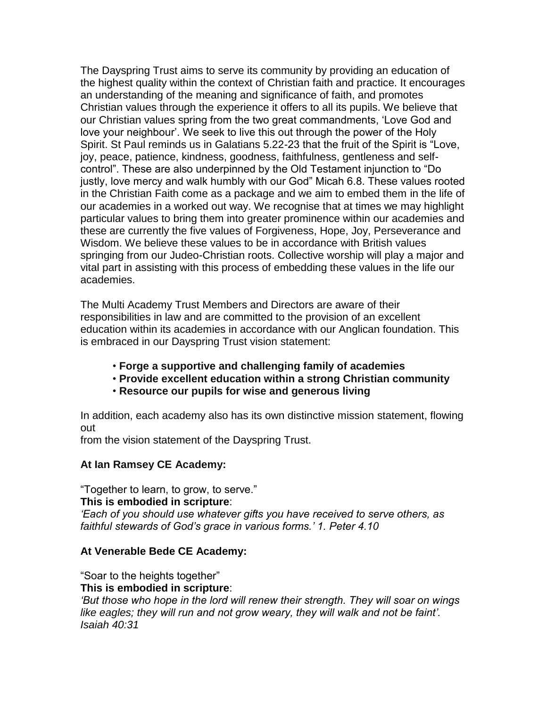The Dayspring Trust aims to serve its community by providing an education of the highest quality within the context of Christian faith and practice. It encourages an understanding of the meaning and significance of faith, and promotes Christian values through the experience it offers to all its pupils. We believe that our Christian values spring from the two great commandments, 'Love God and love your neighbour'. We seek to live this out through the power of the Holy Spirit. St Paul reminds us in Galatians 5.22-23 that the fruit of the Spirit is "Love, joy, peace, patience, kindness, goodness, faithfulness, gentleness and selfcontrol". These are also underpinned by the Old Testament injunction to "Do justly, love mercy and walk humbly with our God" Micah 6.8. These values rooted in the Christian Faith come as a package and we aim to embed them in the life of our academies in a worked out way. We recognise that at times we may highlight particular values to bring them into greater prominence within our academies and these are currently the five values of Forgiveness, Hope, Joy, Perseverance and Wisdom. We believe these values to be in accordance with British values springing from our Judeo-Christian roots. Collective worship will play a major and vital part in assisting with this process of embedding these values in the life our academies.

The Multi Academy Trust Members and Directors are aware of their responsibilities in law and are committed to the provision of an excellent education within its academies in accordance with our Anglican foundation. This is embraced in our Dayspring Trust vision statement:

- **Forge a supportive and challenging family of academies**
- **Provide excellent education within a strong Christian community**
- **Resource our pupils for wise and generous living**

In addition, each academy also has its own distinctive mission statement, flowing out

from the vision statement of the Dayspring Trust.

#### **At Ian Ramsey CE Academy:**

"Together to learn, to grow, to serve." **This is embodied in scripture**:

*'Each of you should use whatever gifts you have received to serve others, as faithful stewards of God's grace in various forms.' 1. Peter 4.10*

#### **At Venerable Bede CE Academy:**

"Soar to the heights together"

#### **This is embodied in scripture**:

*'But those who hope in the lord will renew their strength. They will soar on wings*  like eagles; they will run and not grow weary, they will walk and not be faint'. *Isaiah 40:31*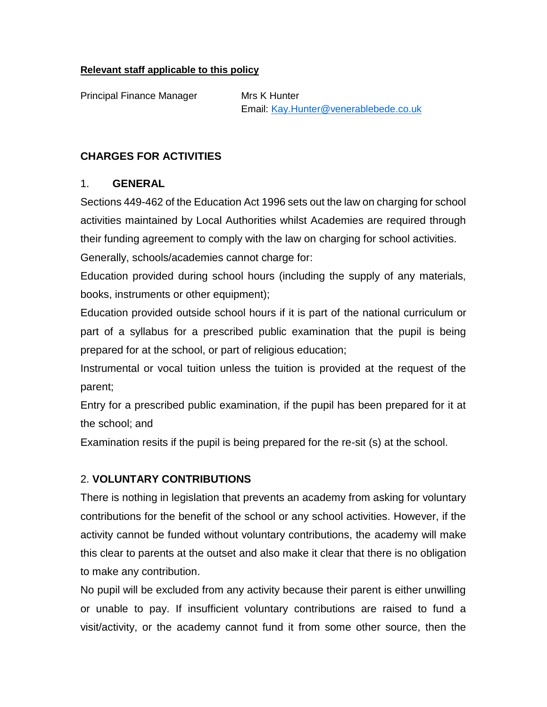#### **Relevant staff applicable to this policy**

Principal Finance Manager Mrs K Hunter

Email: [Kay.Hunter@venerablebede.co.uk](mailto:Kay.Hunter@venerablebede.co.uk)

#### **CHARGES FOR ACTIVITIES**

#### 1. **GENERAL**

Sections 449-462 of the Education Act 1996 sets out the law on charging for school activities maintained by Local Authorities whilst Academies are required through their funding agreement to comply with the law on charging for school activities.

Generally, schools/academies cannot charge for:

Education provided during school hours (including the supply of any materials, books, instruments or other equipment);

Education provided outside school hours if it is part of the national curriculum or part of a syllabus for a prescribed public examination that the pupil is being prepared for at the school, or part of religious education;

Instrumental or vocal tuition unless the tuition is provided at the request of the parent;

Entry for a prescribed public examination, if the pupil has been prepared for it at the school; and

Examination resits if the pupil is being prepared for the re-sit (s) at the school.

# 2. **VOLUNTARY CONTRIBUTIONS**

There is nothing in legislation that prevents an academy from asking for voluntary contributions for the benefit of the school or any school activities. However, if the activity cannot be funded without voluntary contributions, the academy will make this clear to parents at the outset and also make it clear that there is no obligation to make any contribution.

No pupil will be excluded from any activity because their parent is either unwilling or unable to pay. If insufficient voluntary contributions are raised to fund a visit/activity, or the academy cannot fund it from some other source, then the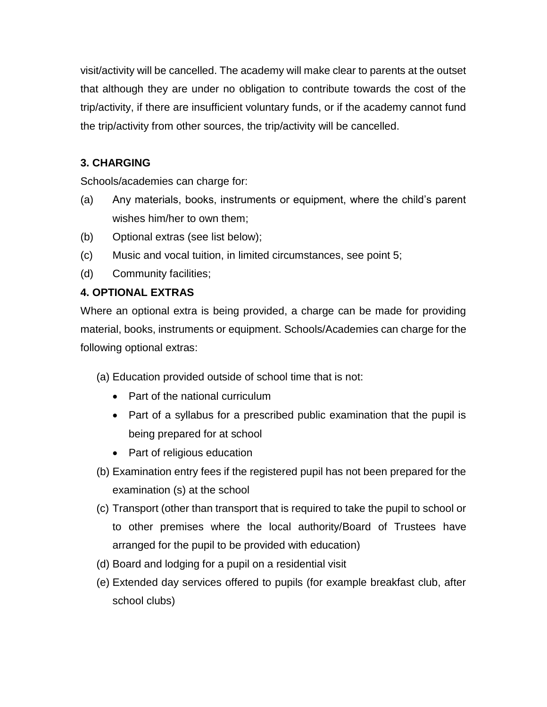visit/activity will be cancelled. The academy will make clear to parents at the outset that although they are under no obligation to contribute towards the cost of the trip/activity, if there are insufficient voluntary funds, or if the academy cannot fund the trip/activity from other sources, the trip/activity will be cancelled.

# **3. CHARGING**

Schools/academies can charge for:

- (a) Any materials, books, instruments or equipment, where the child's parent wishes him/her to own them;
- (b) Optional extras (see list below);
- (c) Music and vocal tuition, in limited circumstances, see point 5;
- (d) Community facilities;

#### **4. OPTIONAL EXTRAS**

Where an optional extra is being provided, a charge can be made for providing material, books, instruments or equipment. Schools/Academies can charge for the following optional extras:

- (a) Education provided outside of school time that is not:
	- Part of the national curriculum
	- Part of a syllabus for a prescribed public examination that the pupil is being prepared for at school
	- Part of religious education
- (b) Examination entry fees if the registered pupil has not been prepared for the examination (s) at the school
- (c) Transport (other than transport that is required to take the pupil to school or to other premises where the local authority/Board of Trustees have arranged for the pupil to be provided with education)
- (d) Board and lodging for a pupil on a residential visit
- (e) Extended day services offered to pupils (for example breakfast club, after school clubs)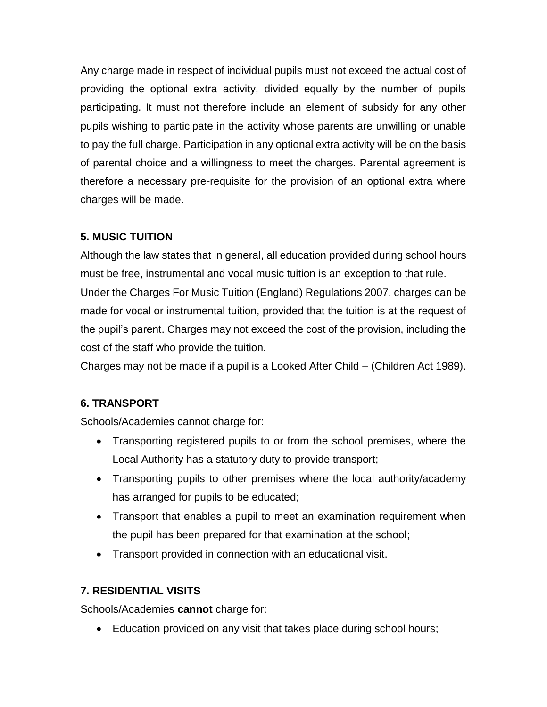Any charge made in respect of individual pupils must not exceed the actual cost of providing the optional extra activity, divided equally by the number of pupils participating. It must not therefore include an element of subsidy for any other pupils wishing to participate in the activity whose parents are unwilling or unable to pay the full charge. Participation in any optional extra activity will be on the basis of parental choice and a willingness to meet the charges. Parental agreement is therefore a necessary pre-requisite for the provision of an optional extra where charges will be made.

# **5. MUSIC TUITION**

Although the law states that in general, all education provided during school hours must be free, instrumental and vocal music tuition is an exception to that rule. Under the Charges For Music Tuition (England) Regulations 2007, charges can be made for vocal or instrumental tuition, provided that the tuition is at the request of the pupil's parent. Charges may not exceed the cost of the provision, including the cost of the staff who provide the tuition.

Charges may not be made if a pupil is a Looked After Child – (Children Act 1989).

# **6. TRANSPORT**

Schools/Academies cannot charge for:

- Transporting registered pupils to or from the school premises, where the Local Authority has a statutory duty to provide transport;
- Transporting pupils to other premises where the local authority/academy has arranged for pupils to be educated;
- Transport that enables a pupil to meet an examination requirement when the pupil has been prepared for that examination at the school;
- Transport provided in connection with an educational visit.

# **7. RESIDENTIAL VISITS**

Schools/Academies **cannot** charge for:

• Education provided on any visit that takes place during school hours;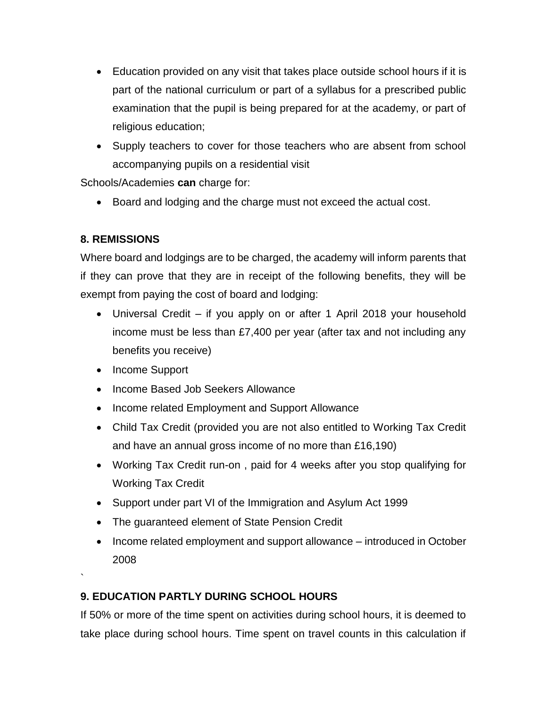- Education provided on any visit that takes place outside school hours if it is part of the national curriculum or part of a syllabus for a prescribed public examination that the pupil is being prepared for at the academy, or part of religious education;
- Supply teachers to cover for those teachers who are absent from school accompanying pupils on a residential visit

Schools/Academies **can** charge for:

Board and lodging and the charge must not exceed the actual cost.

# **8. REMISSIONS**

Where board and lodgings are to be charged, the academy will inform parents that if they can prove that they are in receipt of the following benefits, they will be exempt from paying the cost of board and lodging:

- Universal Credit if you apply on or after 1 April 2018 your household income must be less than £7,400 per year (after tax and not including any benefits you receive)
- Income Support

`

- Income Based Job Seekers Allowance
- Income related Employment and Support Allowance
- Child Tax Credit (provided you are not also entitled to Working Tax Credit and have an annual gross income of no more than £16,190)
- Working Tax Credit run-on , paid for 4 weeks after you stop qualifying for Working Tax Credit
- Support under part VI of the Immigration and Asylum Act 1999
- The guaranteed element of State Pension Credit
- Income related employment and support allowance introduced in October 2008

# **9. EDUCATION PARTLY DURING SCHOOL HOURS**

If 50% or more of the time spent on activities during school hours, it is deemed to take place during school hours. Time spent on travel counts in this calculation if